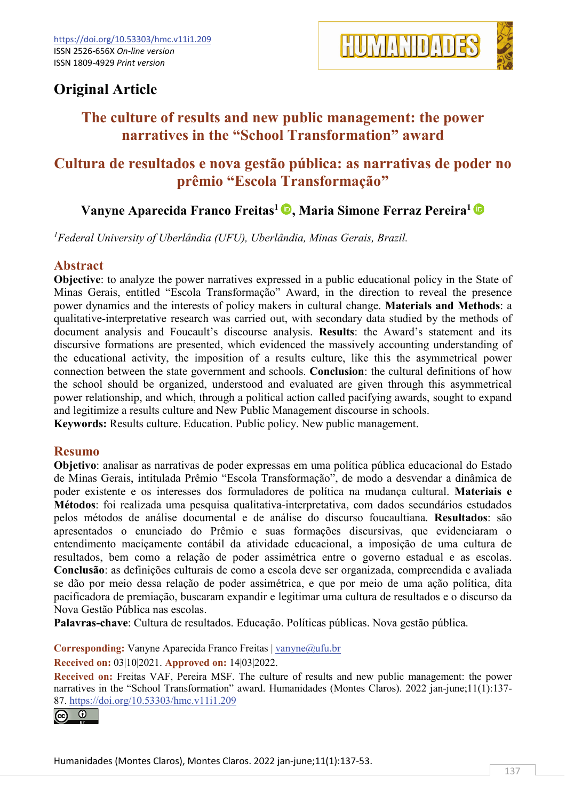

# **Original Article**

# **The culture of results and new public management: the power narratives in the "School Transformation" award**

## **Cultura de resultados e nova gestão pública: as narrativas de poder no prêmio "Escola Transformação"**

## **Vanyne Aparecida Franco Freitas1 , Maria Simone Ferraz Pereira1**

*1 Federal University of Uberlândia (UFU), Uberlândia, Minas Gerais, Brazil.*

### **Abstract**

**Objective**: to analyze the power narratives expressed in a public educational policy in the State of Minas Gerais, entitled "Escola Transformação" Award, in the direction to reveal the presence power dynamics and the interests of policy makers in cultural change. **Materials and Methods**: a qualitative-interpretative research was carried out, with secondary data studied by the methods of document analysis and Foucault's discourse analysis. **Results**: the Award's statement and its discursive formations are presented, which evidenced the massively accounting understanding of the educational activity, the imposition of a results culture, like this the asymmetrical power connection between the state government and schools. **Conclusion**: the cultural definitions of how the school should be organized, understood and evaluated are given through this asymmetrical power relationship, and which, through a political action called pacifying awards, sought to expand and legitimize a results culture and New Public Management discourse in schools.

**Keywords:** Results culture. Education. Public policy. New public management.

#### **Resumo**

**Objetivo**: analisar as narrativas de poder expressas em uma política pública educacional do Estado de Minas Gerais, intitulada Prêmio "Escola Transformação", de modo a desvendar a dinâmica de poder existente e os interesses dos formuladores de política na mudança cultural. **Materiais e Métodos**: foi realizada uma pesquisa qualitativa-interpretativa, com dados secundários estudados pelos métodos de análise documental e de análise do discurso foucaultiana. **Resultados**: são apresentados o enunciado do Prêmio e suas formações discursivas, que evidenciaram o entendimento maciçamente contábil da atividade educacional, a imposição de uma cultura de resultados, bem como a relação de poder assimétrica entre o governo estadual e as escolas. **Conclusão**: as definições culturais de como a escola deve ser organizada, compreendida e avaliada se dão por meio dessa relação de poder assimétrica, e que por meio de uma ação política, dita pacificadora de premiação, buscaram expandir e legitimar uma cultura de resultados e o discurso da Nova Gestão Pública nas escolas.

**Palavras-chave**: Cultura de resultados. Educação. Políticas públicas. Nova gestão pública.

**Corresponding:** Vanyne Aparecida Franco Freitas | [vanyne@ufu.br](mailto:vanyne@ufu.br) 

**Received on:** 03|10|2021. **Approved on:** 14|03|2022.

**Received on:** Freitas VAF, Pereira MSF. The culture of results and new public management: the power narratives in the "School Transformation" award. Humanidades (Montes Claros). 2022 jan-june;11(1):137- 87. [https://doi.org/10.53303/](https://doi.org/10.53303)hmc.v11i1.209

<u>രെ 0</u>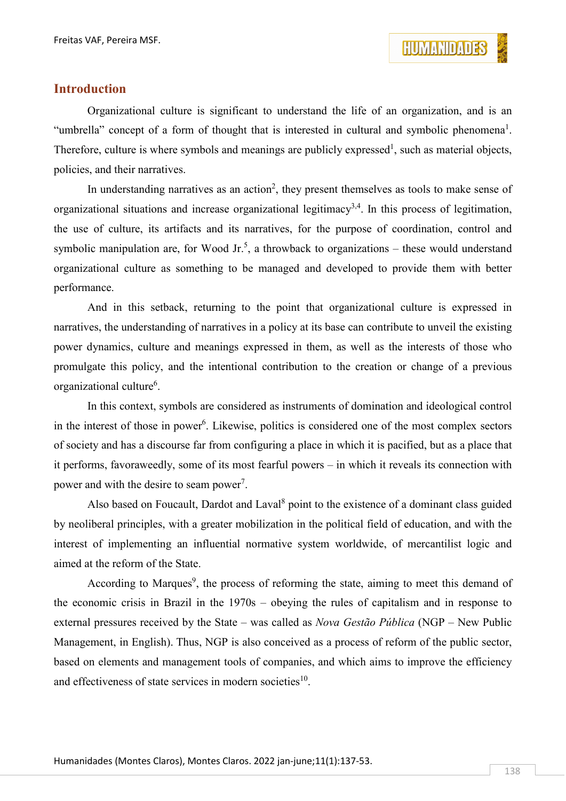

### **Introduction**

Organizational culture is significant to understand the life of an organization, and is an "umbrella" concept of a form of thought that is interested in cultural and symbolic phenomena<sup>1</sup>. Therefore, culture is where symbols and meanings are publicly expressed<sup>1</sup>, such as material objects, policies, and their narratives.

In understanding narratives as an action<sup>2</sup>, they present themselves as tools to make sense of organizational situations and increase organizational legitimacy<sup>3,4</sup>. In this process of legitimation, the use of culture, its artifacts and its narratives, for the purpose of coordination, control and symbolic manipulation are, for Wood Jr.<sup>5</sup>, a throwback to organizations – these would understand organizational culture as something to be managed and developed to provide them with better performance.

And in this setback, returning to the point that organizational culture is expressed in narratives, the understanding of narratives in a policy at its base can contribute to unveil the existing power dynamics, culture and meanings expressed in them, as well as the interests of those who promulgate this policy, and the intentional contribution to the creation or change of a previous organizational culture<sup>6</sup>.

In this context, symbols are considered as instruments of domination and ideological control in the interest of those in power<sup>6</sup>. Likewise, politics is considered one of the most complex sectors of society and has a discourse far from configuring a place in which it is pacified, but as a place that it performs, favoraweedly, some of its most fearful powers – in which it reveals its connection with power and with the desire to seam power<sup>7</sup>.

Also based on Foucault, Dardot and Laval<sup>8</sup> point to the existence of a dominant class guided by neoliberal principles, with a greater mobilization in the political field of education, and with the interest of implementing an influential normative system worldwide, of mercantilist logic and aimed at the reform of the State.

According to Marques<sup>9</sup>, the process of reforming the state, aiming to meet this demand of the economic crisis in Brazil in the 1970s – obeying the rules of capitalism and in response to external pressures received by the State – was called as *Nova Gestão Pública* (NGP – New Public Management, in English). Thus, NGP is also conceived as a process of reform of the public sector, based on elements and management tools of companies, and which aims to improve the efficiency and effectiveness of state services in modern societies $10$ .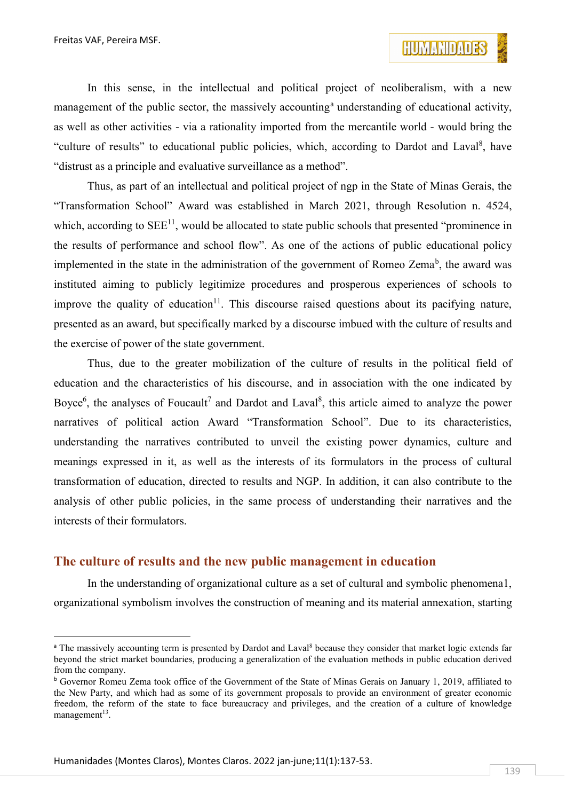In this sense, in the intellectual and political project of neoliberalism, with a new m[a](#page-2-0)nagement of the public sector, the massively accounting<sup>a</sup> understanding of educational activity, as well as other activities - via a rationality imported from the mercantile world - would bring the "culture of results" to educational public policies, which, according to Dardot and Laval<sup>8</sup>, have "distrust as a principle and evaluative surveillance as a method".

Thus, as part of an intellectual and political project of ngp in the State of Minas Gerais, the "Transformation School" Award was established in March 2021, through Resolution n. 4524, which, according to  $SEE^{11}$ , would be allocated to state public schools that presented "prominence in the results of performance and school flow". As one of the actions of public educational policy implemented in the state in the administration of the government of Romeo Zema<sup>[b](#page-2-1)</sup>, the award was instituted aiming to publicly legitimize procedures and prosperous experiences of schools to improve the quality of education<sup>11</sup>. This discourse raised questions about its pacifying nature, presented as an award, but specifically marked by a discourse imbued with the culture of results and the exercise of power of the state government.

Thus, due to the greater mobilization of the culture of results in the political field of education and the characteristics of his discourse, and in association with the one indicated by Boyce<sup>6</sup>, the analyses of Foucault<sup>7</sup> and Dardot and Laval<sup>8</sup>, this article aimed to analyze the power narratives of political action Award "Transformation School". Due to its characteristics, understanding the narratives contributed to unveil the existing power dynamics, culture and meanings expressed in it, as well as the interests of its formulators in the process of cultural transformation of education, directed to results and NGP. In addition, it can also contribute to the analysis of other public policies, in the same process of understanding their narratives and the interests of their formulators.

### **The culture of results and the new public management in education**

In the understanding of organizational culture as a set of cultural and symbolic phenomena1, organizational symbolism involves the construction of meaning and its material annexation, starting

<span id="page-2-0"></span><sup>&</sup>lt;sup>a</sup> The massively accounting term is presented by Dardot and Laval<sup>8</sup> because they consider that market logic extends far beyond the strict market boundaries, producing a generalization of the evaluation methods in public education derived from the company.

<span id="page-2-1"></span><sup>b</sup> Governor Romeu Zema took office of the Government of the State of Minas Gerais on January 1, 2019, affiliated to the New Party, and which had as some of its government proposals to provide an environment of greater economic freedom, the reform of the state to face bureaucracy and privileges, and the creation of a culture of knowledge management $13$ .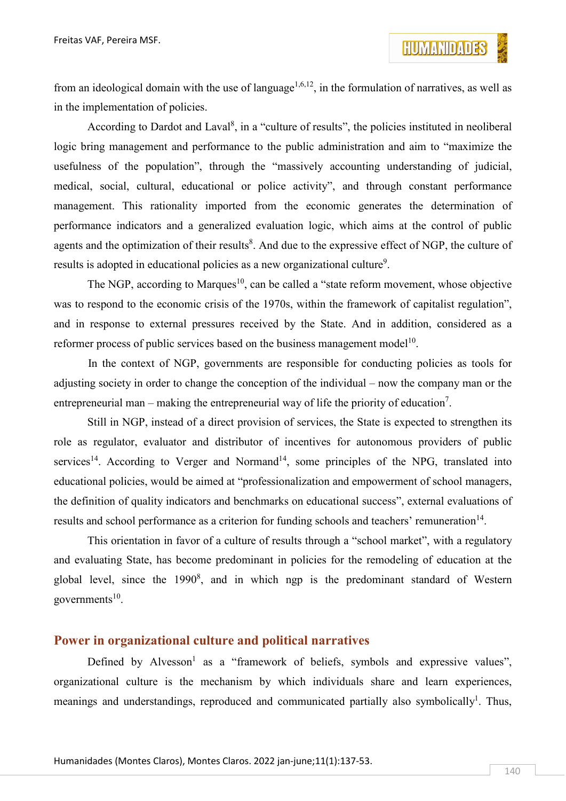from an ideological domain with the use of language<sup>1,6,12</sup>, in the formulation of narratives, as well as in the implementation of policies.

According to Dardot and Laval<sup>8</sup>, in a "culture of results", the policies instituted in neoliberal logic bring management and performance to the public administration and aim to "maximize the usefulness of the population", through the "massively accounting understanding of judicial, medical, social, cultural, educational or police activity", and through constant performance management. This rationality imported from the economic generates the determination of performance indicators and a generalized evaluation logic, which aims at the control of public agents and the optimization of their results<sup>8</sup>. And due to the expressive effect of NGP, the culture of results is adopted in educational policies as a new organizational culture<sup>9</sup>.

The NGP, according to Marques<sup>10</sup>, can be called a "state reform movement, whose objective was to respond to the economic crisis of the 1970s, within the framework of capitalist regulation", and in response to external pressures received by the State. And in addition, considered as a reformer process of public services based on the business management model<sup>10</sup>.

In the context of NGP, governments are responsible for conducting policies as tools for adjusting society in order to change the conception of the individual – now the company man or the entrepreneurial man – making the entrepreneurial way of life the priority of education<sup>7</sup>.

Still in NGP, instead of a direct provision of services, the State is expected to strengthen its role as regulator, evaluator and distributor of incentives for autonomous providers of public services<sup>14</sup>. According to Verger and Normand<sup>14</sup>, some principles of the NPG, translated into educational policies, would be aimed at "professionalization and empowerment of school managers, the definition of quality indicators and benchmarks on educational success", external evaluations of results and school performance as a criterion for funding schools and teachers' remuneration<sup>14</sup>.

This orientation in favor of a culture of results through a "school market", with a regulatory and evaluating State, has become predominant in policies for the remodeling of education at the global level, since the  $1990^8$ , and in which ngp is the predominant standard of Western governments $10$ .

### **Power in organizational culture and political narratives**

Defined by Alvesson<sup>1</sup> as a "framework of beliefs, symbols and expressive values", organizational culture is the mechanism by which individuals share and learn experiences, meanings and understandings, reproduced and communicated partially also symbolically<sup>1</sup>. Thus,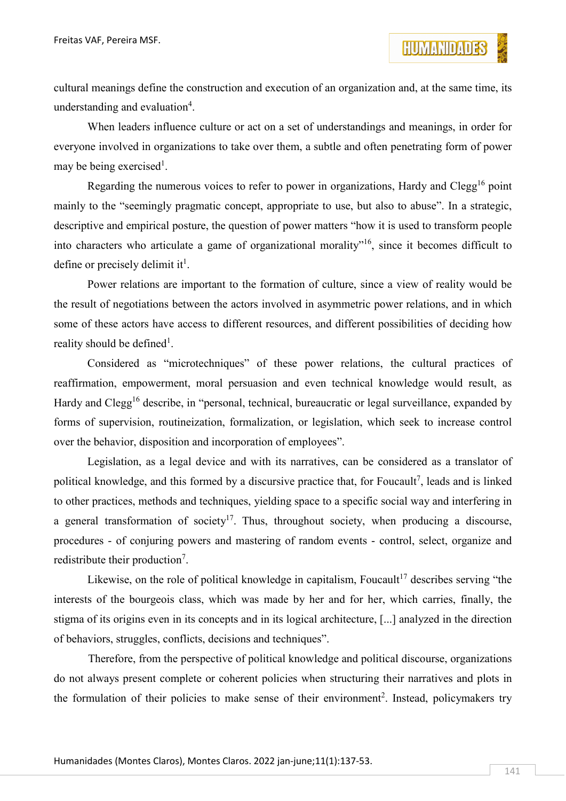cultural meanings define the construction and execution of an organization and, at the same time, its understanding and evaluation<sup>4</sup>.

When leaders influence culture or act on a set of understandings and meanings, in order for everyone involved in organizations to take over them, a subtle and often penetrating form of power may be being exercised<sup>1</sup>.

Regarding the numerous voices to refer to power in organizations, Hardy and Clegg<sup>16</sup> point mainly to the "seemingly pragmatic concept, appropriate to use, but also to abuse". In a strategic, descriptive and empirical posture, the question of power matters "how it is used to transform people into characters who articulate a game of organizational morality"16, since it becomes difficult to define or precisely delimit it<sup>1</sup>.

Power relations are important to the formation of culture, since a view of reality would be the result of negotiations between the actors involved in asymmetric power relations, and in which some of these actors have access to different resources, and different possibilities of deciding how reality should be defined<sup>1</sup>.

Considered as "microtechniques" of these power relations, the cultural practices of reaffirmation, empowerment, moral persuasion and even technical knowledge would result, as Hardy and Clegg<sup>16</sup> describe, in "personal, technical, bureaucratic or legal surveillance, expanded by forms of supervision, routineization, formalization, or legislation, which seek to increase control over the behavior, disposition and incorporation of employees".

Legislation, as a legal device and with its narratives, can be considered as a translator of political knowledge, and this formed by a discursive practice that, for Foucault<sup>7</sup>, leads and is linked to other practices, methods and techniques, yielding space to a specific social way and interfering in a general transformation of society<sup>17</sup>. Thus, throughout society, when producing a discourse, procedures - of conjuring powers and mastering of random events - control, select, organize and redistribute their production<sup>7</sup>.

Likewise, on the role of political knowledge in capitalism, Foucault<sup>17</sup> describes serving "the interests of the bourgeois class, which was made by her and for her, which carries, finally, the stigma of its origins even in its concepts and in its logical architecture, [...] analyzed in the direction of behaviors, struggles, conflicts, decisions and techniques".

Therefore, from the perspective of political knowledge and political discourse, organizations do not always present complete or coherent policies when structuring their narratives and plots in the formulation of their policies to make sense of their environment<sup>2</sup>. Instead, policymakers try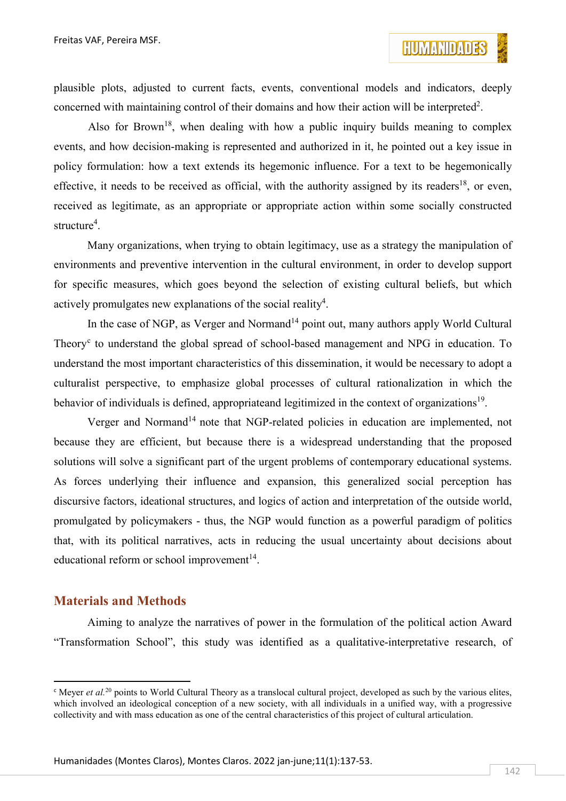plausible plots, adjusted to current facts, events, conventional models and indicators, deeply concerned with maintaining control of their domains and how their action will be interpreted<sup>2</sup>.

Also for Brown<sup>18</sup>, when dealing with how a public inquiry builds meaning to complex events, and how decision-making is represented and authorized in it, he pointed out a key issue in policy formulation: how a text extends its hegemonic influence. For a text to be hegemonically effective, it needs to be received as official, with the authority assigned by its readers<sup>18</sup>, or even, received as legitimate, as an appropriate or appropriate action within some socially constructed structure<sup>4</sup>.

Many organizations, when trying to obtain legitimacy, use as a strategy the manipulation of environments and preventive intervention in the cultural environment, in order to develop support for specific measures, which goes beyond the selection of existing cultural beliefs, but which actively promulgates new explanations of the social reality<sup>4</sup>.

In the case of NGP, as Verger and Normand<sup>14</sup> point out, many authors apply World Cultural Theory<sup>[c](#page-5-0)</sup> to understand the global spread of school-based management and NPG in education. To understand the most important characteristics of this dissemination, it would be necessary to adopt a culturalist perspective, to emphasize global processes of cultural rationalization in which the behavior of individuals is defined, appropriateand legitimized in the context of organizations<sup>19</sup>.

Verger and Normand<sup>14</sup> note that NGP-related policies in education are implemented, not because they are efficient, but because there is a widespread understanding that the proposed solutions will solve a significant part of the urgent problems of contemporary educational systems. As forces underlying their influence and expansion, this generalized social perception has discursive factors, ideational structures, and logics of action and interpretation of the outside world, promulgated by policymakers - thus, the NGP would function as a powerful paradigm of politics that, with its political narratives, acts in reducing the usual uncertainty about decisions about educational reform or school improvement $14$ .

#### **Materials and Methods**

Aiming to analyze the narratives of power in the formulation of the political action Award "Transformation School", this study was identified as a qualitative-interpretative research, of

<span id="page-5-0"></span><sup>&</sup>lt;sup>c</sup> Meyer *et al.*<sup>20</sup> points to World Cultural Theory as a translocal cultural project, developed as such by the various elites, which involved an ideological conception of a new society, with all individuals in a unified way, with a progressive collectivity and with mass education as one of the central characteristics of this project of cultural articulation.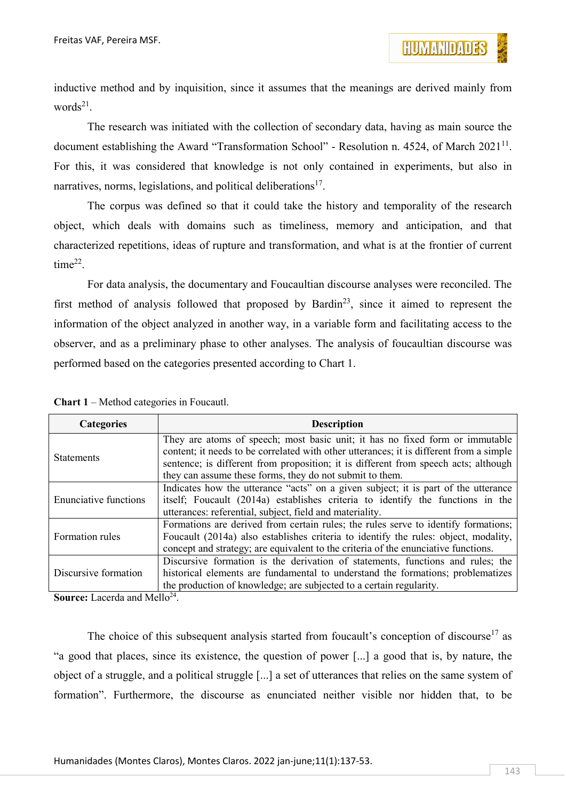inductive method and by inquisition, since it assumes that the meanings are derived mainly from words $^{21}$ .

The research was initiated with the collection of secondary data, having as main source the document establishing the Award "Transformation School" - Resolution n. 4524, of March  $2021^{11}$ . For this, it was considered that knowledge is not only contained in experiments, but also in narratives, norms, legislations, and political deliberations $17$ .

The corpus was defined so that it could take the history and temporality of the research object, which deals with domains such as timeliness, memory and anticipation, and that characterized repetitions, ideas of rupture and transformation, and what is at the frontier of current time<sup>22</sup>.

For data analysis, the documentary and Foucaultian discourse analyses were reconciled. The first method of analysis followed that proposed by Bardin<sup>23</sup>, since it aimed to represent the information of the object analyzed in another way, in a variable form and facilitating access to the observer, and as a preliminary phase to other analyses. The analysis of foucaultian discourse was performed based on the categories presented according to Chart 1.

| <b>Categories</b>            | <b>Description</b>                                                                      |
|------------------------------|-----------------------------------------------------------------------------------------|
| <b>Statements</b>            | They are atoms of speech; most basic unit; it has no fixed form or immutable            |
|                              | content; it needs to be correlated with other utterances; it is different from a simple |
|                              | sentence; is different from proposition; it is different from speech acts; although     |
|                              | they can assume these forms, they do not submit to them.                                |
| <b>Enunciative functions</b> | Indicates how the utterance "acts" on a given subject; it is part of the utterance      |
|                              | itself; Foucault (2014a) establishes criteria to identify the functions in the          |
|                              | utterances: referential, subject, field and materiality.                                |
| Formation rules              | Formations are derived from certain rules; the rules serve to identify formations;      |
|                              | Foucault (2014a) also establishes criteria to identify the rules: object, modality,     |
|                              | concept and strategy; are equivalent to the criteria of the enunciative functions.      |
| Discursive formation         | Discursive formation is the derivation of statements, functions and rules; the          |
|                              | historical elements are fundamental to understand the formations; problematizes         |
|                              | the production of knowledge; are subjected to a certain regularity.                     |

**Source:** Lacerda and Mello<sup>24</sup>.

The choice of this subsequent analysis started from foucault's conception of discourse<sup>17</sup> as "a good that places, since its existence, the question of power [...] a good that is, by nature, the object of a struggle, and a political struggle [...] a set of utterances that relies on the same system of formation". Furthermore, the discourse as enunciated neither visible nor hidden that, to be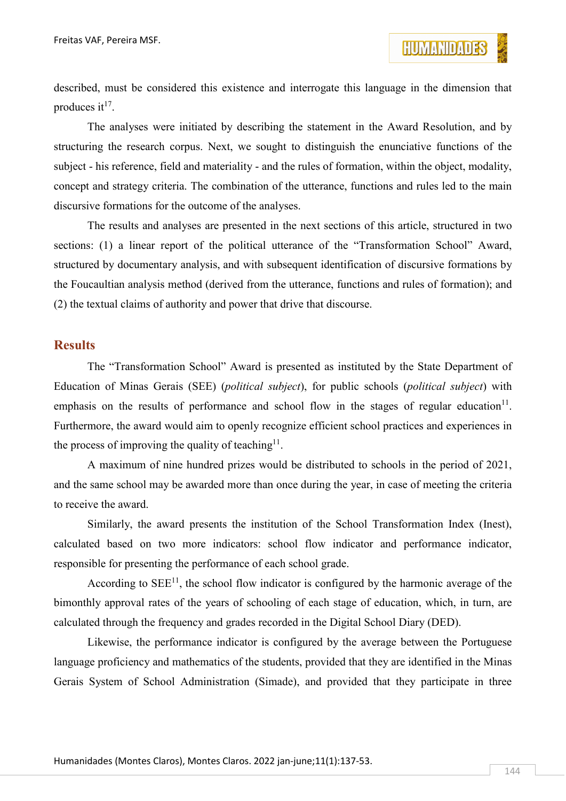described, must be considered this existence and interrogate this language in the dimension that produces it<sup>17</sup>.

The analyses were initiated by describing the statement in the Award Resolution, and by structuring the research corpus. Next, we sought to distinguish the enunciative functions of the subject - his reference, field and materiality - and the rules of formation, within the object, modality, concept and strategy criteria. The combination of the utterance, functions and rules led to the main discursive formations for the outcome of the analyses.

The results and analyses are presented in the next sections of this article, structured in two sections: (1) a linear report of the political utterance of the "Transformation School" Award, structured by documentary analysis, and with subsequent identification of discursive formations by the Foucaultian analysis method (derived from the utterance, functions and rules of formation); and (2) the textual claims of authority and power that drive that discourse.

#### **Results**

The "Transformation School" Award is presented as instituted by the State Department of Education of Minas Gerais (SEE) (*political subject*), for public schools (*political subject*) with emphasis on the results of performance and school flow in the stages of regular education<sup>11</sup>. Furthermore, the award would aim to openly recognize efficient school practices and experiences in the process of improving the quality of teaching<sup>11</sup>.

A maximum of nine hundred prizes would be distributed to schools in the period of 2021, and the same school may be awarded more than once during the year, in case of meeting the criteria to receive the award.

Similarly, the award presents the institution of the School Transformation Index (Inest), calculated based on two more indicators: school flow indicator and performance indicator, responsible for presenting the performance of each school grade.

According to  $SEE<sup>11</sup>$ , the school flow indicator is configured by the harmonic average of the bimonthly approval rates of the years of schooling of each stage of education, which, in turn, are calculated through the frequency and grades recorded in the Digital School Diary (DED).

Likewise, the performance indicator is configured by the average between the Portuguese language proficiency and mathematics of the students, provided that they are identified in the Minas Gerais System of School Administration (Simade), and provided that they participate in three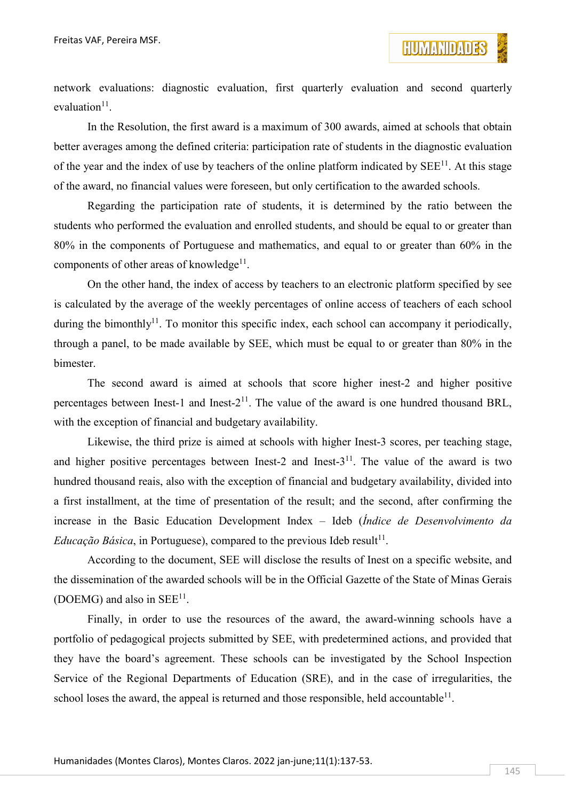network evaluations: diagnostic evaluation, first quarterly evaluation and second quarterly evaluation $11$ .

In the Resolution, the first award is a maximum of 300 awards, aimed at schools that obtain better averages among the defined criteria: participation rate of students in the diagnostic evaluation of the year and the index of use by teachers of the online platform indicated by  $SEE<sup>11</sup>$ . At this stage of the award, no financial values were foreseen, but only certification to the awarded schools.

Regarding the participation rate of students, it is determined by the ratio between the students who performed the evaluation and enrolled students, and should be equal to or greater than 80% in the components of Portuguese and mathematics, and equal to or greater than 60% in the components of other areas of knowledge<sup>11</sup>.

On the other hand, the index of access by teachers to an electronic platform specified by see is calculated by the average of the weekly percentages of online access of teachers of each school during the bimonthly<sup>11</sup>. To monitor this specific index, each school can accompany it periodically, through a panel, to be made available by SEE, which must be equal to or greater than 80% in the bimester.

The second award is aimed at schools that score higher inest-2 and higher positive percentages between Inest-1 and Inest- $2^{11}$ . The value of the award is one hundred thousand BRL, with the exception of financial and budgetary availability.

Likewise, the third prize is aimed at schools with higher Inest-3 scores, per teaching stage, and higher positive percentages between Inest-2 and Inest- $3<sup>11</sup>$ . The value of the award is two hundred thousand reais, also with the exception of financial and budgetary availability, divided into a first installment, at the time of presentation of the result; and the second, after confirming the increase in the Basic Education Development Index – Ideb (*Índice de Desenvolvimento da Educação Básica*, in Portuguese), compared to the previous Ideb result<sup>11</sup>.

According to the document, SEE will disclose the results of Inest on a specific website, and the dissemination of the awarded schools will be in the Official Gazette of the State of Minas Gerais (DOEMG) and also in  $SEE<sup>11</sup>$ .

Finally, in order to use the resources of the award, the award-winning schools have a portfolio of pedagogical projects submitted by SEE, with predetermined actions, and provided that they have the board's agreement. These schools can be investigated by the School Inspection Service of the Regional Departments of Education (SRE), and in the case of irregularities, the school loses the award, the appeal is returned and those responsible, held accountable<sup>11</sup>.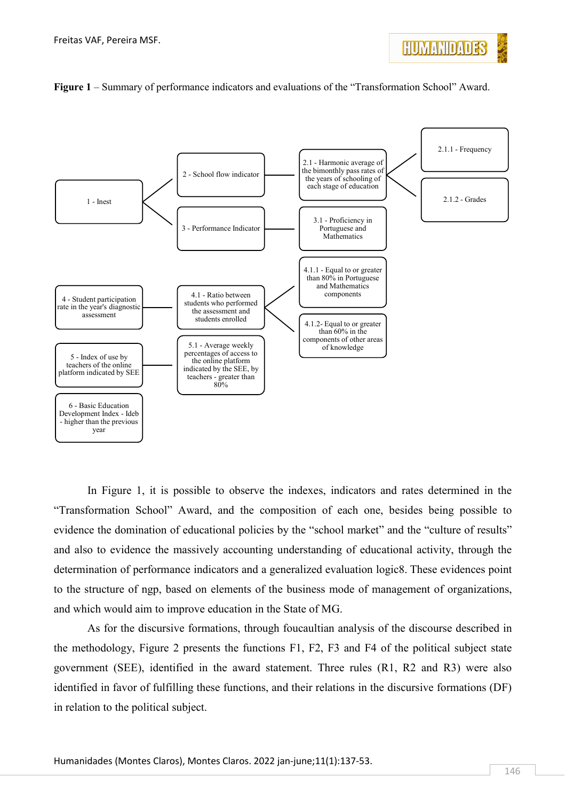



#### **Figure 1** – Summary of performance indicators and evaluations of the "Transformation School" Award.

In Figure 1, it is possible to observe the indexes, indicators and rates determined in the "Transformation School" Award, and the composition of each one, besides being possible to evidence the domination of educational policies by the "school market" and the "culture of results" and also to evidence the massively accounting understanding of educational activity, through the determination of performance indicators and a generalized evaluation logic8. These evidences point to the structure of ngp, based on elements of the business mode of management of organizations, and which would aim to improve education in the State of MG.

As for the discursive formations, through foucaultian analysis of the discourse described in the methodology, Figure 2 presents the functions F1, F2, F3 and F4 of the political subject state government (SEE), identified in the award statement. Three rules (R1, R2 and R3) were also identified in favor of fulfilling these functions, and their relations in the discursive formations (DF) in relation to the political subject.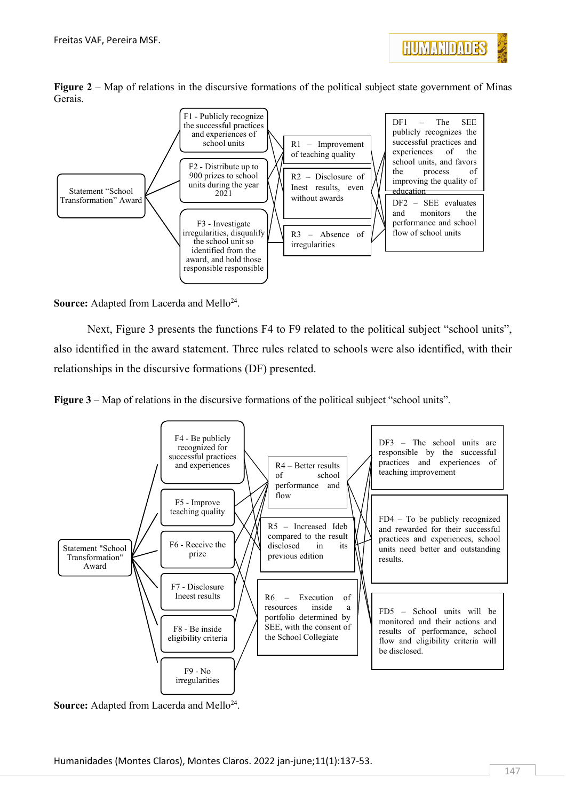

**Figure 2** – Map of relations in the discursive formations of the political subject state government of Minas Gerais.



**Source:** Adapted from Lacerda and Mello<sup>24</sup>.

Next, Figure 3 presents the functions F4 to F9 related to the political subject "school units", also identified in the award statement. Three rules related to schools were also identified, with their relationships in the discursive formations (DF) presented.





Source: Adapted from Lacerda and Mello<sup>24</sup>.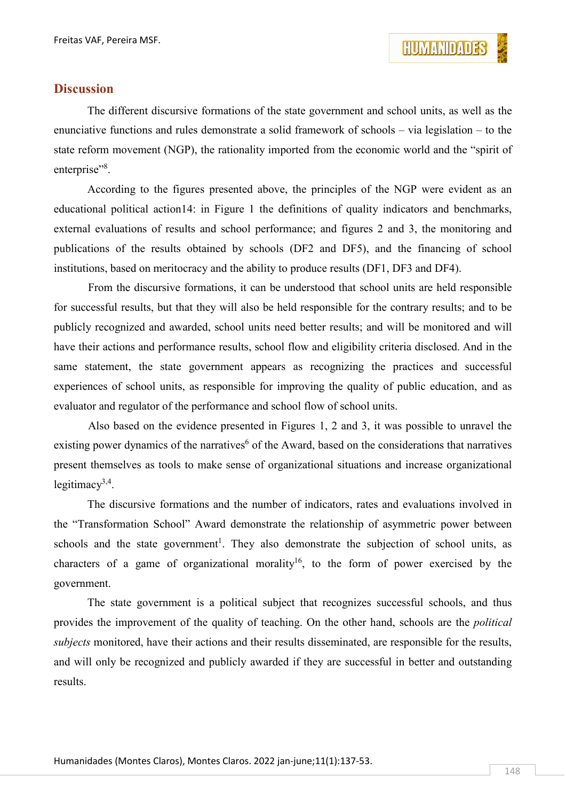

#### **Discussion**

The different discursive formations of the state government and school units, as well as the enunciative functions and rules demonstrate a solid framework of schools – via legislation – to the state reform movement (NGP), the rationality imported from the economic world and the "spirit of enterprise"<sup>8</sup>.

According to the figures presented above, the principles of the NGP were evident as an educational political action14: in Figure 1 the definitions of quality indicators and benchmarks, external evaluations of results and school performance; and figures 2 and 3, the monitoring and publications of the results obtained by schools (DF2 and DF5), and the financing of school institutions, based on meritocracy and the ability to produce results (DF1, DF3 and DF4).

From the discursive formations, it can be understood that school units are held responsible for successful results, but that they will also be held responsible for the contrary results; and to be publicly recognized and awarded, school units need better results; and will be monitored and will have their actions and performance results, school flow and eligibility criteria disclosed. And in the same statement, the state government appears as recognizing the practices and successful experiences of school units, as responsible for improving the quality of public education, and as evaluator and regulator of the performance and school flow of school units.

Also based on the evidence presented in Figures 1, 2 and 3, it was possible to unravel the existing power dynamics of the narratives<sup>6</sup> of the Award, based on the considerations that narratives present themselves as tools to make sense of organizational situations and increase organizational legitimacy $3,4$ .

The discursive formations and the number of indicators, rates and evaluations involved in the "Transformation School" Award demonstrate the relationship of asymmetric power between schools and the state government<sup>1</sup>. They also demonstrate the subjection of school units, as characters of a game of organizational morality<sup>16</sup>, to the form of power exercised by the government.

The state government is a political subject that recognizes successful schools, and thus provides the improvement of the quality of teaching. On the other hand, schools are the *political subjects* monitored, have their actions and their results disseminated, are responsible for the results, and will only be recognized and publicly awarded if they are successful in better and outstanding results.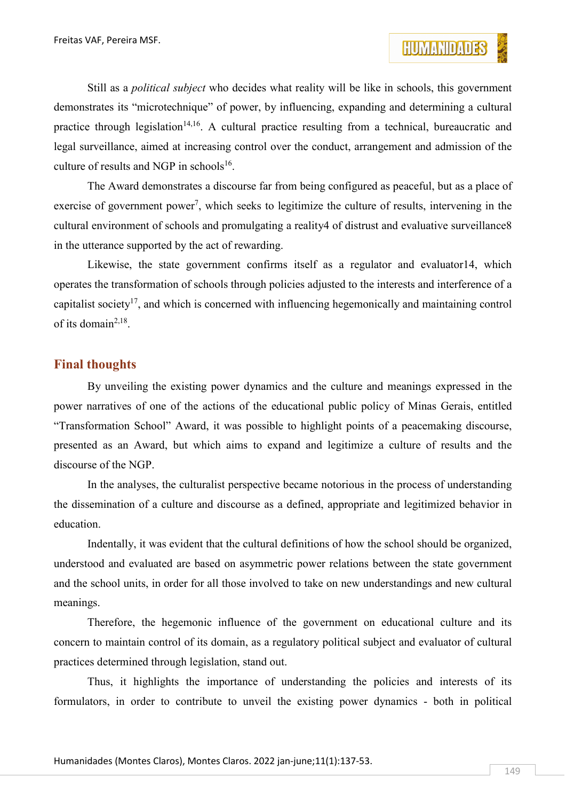Still as a *political subject* who decides what reality will be like in schools, this government demonstrates its "microtechnique" of power, by influencing, expanding and determining a cultural practice through legislation<sup>14,16</sup>. A cultural practice resulting from a technical, bureaucratic and legal surveillance, aimed at increasing control over the conduct, arrangement and admission of the culture of results and NGP in schools<sup>16</sup>.

The Award demonstrates a discourse far from being configured as peaceful, but as a place of exercise of government power<sup>7</sup>, which seeks to legitimize the culture of results, intervening in the cultural environment of schools and promulgating a reality4 of distrust and evaluative surveillance8 in the utterance supported by the act of rewarding.

Likewise, the state government confirms itself as a regulator and evaluator14, which operates the transformation of schools through policies adjusted to the interests and interference of a capitalist society<sup>17</sup>, and which is concerned with influencing hegemonically and maintaining control of its domain<sup>2,18</sup>.

### **Final thoughts**

By unveiling the existing power dynamics and the culture and meanings expressed in the power narratives of one of the actions of the educational public policy of Minas Gerais, entitled "Transformation School" Award, it was possible to highlight points of a peacemaking discourse, presented as an Award, but which aims to expand and legitimize a culture of results and the discourse of the NGP.

In the analyses, the culturalist perspective became notorious in the process of understanding the dissemination of a culture and discourse as a defined, appropriate and legitimized behavior in education.

Indentally, it was evident that the cultural definitions of how the school should be organized, understood and evaluated are based on asymmetric power relations between the state government and the school units, in order for all those involved to take on new understandings and new cultural meanings.

Therefore, the hegemonic influence of the government on educational culture and its concern to maintain control of its domain, as a regulatory political subject and evaluator of cultural practices determined through legislation, stand out.

Thus, it highlights the importance of understanding the policies and interests of its formulators, in order to contribute to unveil the existing power dynamics - both in political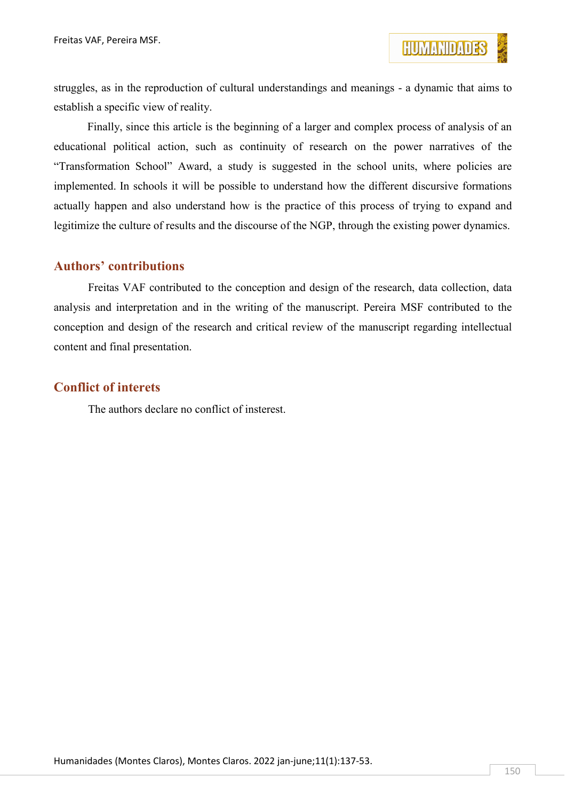struggles, as in the reproduction of cultural understandings and meanings - a dynamic that aims to establish a specific view of reality.

Finally, since this article is the beginning of a larger and complex process of analysis of an educational political action, such as continuity of research on the power narratives of the "Transformation School" Award, a study is suggested in the school units, where policies are implemented. In schools it will be possible to understand how the different discursive formations actually happen and also understand how is the practice of this process of trying to expand and legitimize the culture of results and the discourse of the NGP, through the existing power dynamics.

### **Authors' contributions**

Freitas VAF contributed to the conception and design of the research, data collection, data analysis and interpretation and in the writing of the manuscript. Pereira MSF contributed to the conception and design of the research and critical review of the manuscript regarding intellectual content and final presentation.

#### **Conflict of interets**

The authors declare no conflict of insterest.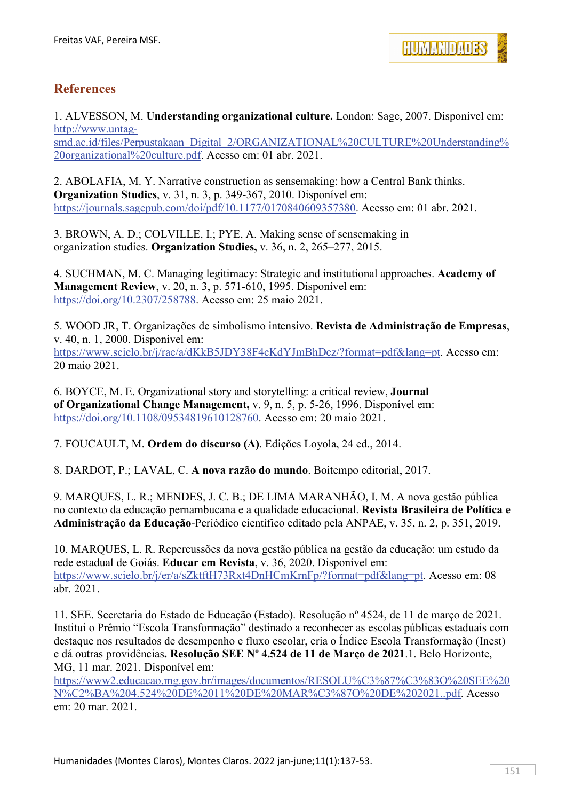

### **References**

1. ALVESSON, M. **Understanding organizational culture.** London: Sage, 2007. Disponível em: [http://www.untag-](http://www.untag-smd.ac.id/files/Perpustakaan_Digital_2/ORGANIZATIONAL%20CULTURE%20Understanding%20organizational%20culture.pdf)

[smd.ac.id/files/Perpustakaan\\_Digital\\_2/ORGANIZATIONAL%20CULTURE%20Understanding%](http://www.untag-smd.ac.id/files/Perpustakaan_Digital_2/ORGANIZATIONAL%20CULTURE%20Understanding%20organizational%20culture.pdf) [20organizational%20culture.pdf.](http://www.untag-smd.ac.id/files/Perpustakaan_Digital_2/ORGANIZATIONAL%20CULTURE%20Understanding%20organizational%20culture.pdf) Acesso em: 01 abr. 2021.

2. ABOLAFIA, M. Y. Narrative construction as sensemaking: how a Central Bank thinks. **Organization Studies**, v. 31, n. 3, p. 349-367, 2010. Disponível em: [https://journals.sagepub.com/doi/pdf/10.1177/0170840609357380.](https://journals.sagepub.com/doi/pdf/10.1177/0170840609357380) Acesso em: 01 abr. 2021.

3. BROWN, A. D.; COLVILLE, I.; PYE, A. Making sense of sensemaking in organization studies. **Organization Studies,** v. 36, n. 2, 265–277, 2015.

4. SUCHMAN, M. C. Managing legitimacy: Strategic and institutional approaches. **Academy of Management Review**, v. 20, n. 3, p. 571-610, 1995. Disponível em: [https://doi.org/10.2307/258788.](https://doi.org/10.2307/258788) Acesso em: 25 maio 2021.

5. WOOD JR, T. Organizações de simbolismo intensivo. **Revista de Administração de Empresas**, v. 40, n. 1, 2000. Disponível em: [https://www.scielo.br/j/rae/a/dKkB5JDY38F4cKdYJmBhDcz/?format=pdf&lang=pt.](https://www.scielo.br/j/rae/a/dKkB5JDY38F4cKdYJmBhDcz/?format=pdf&lang=pt) Acesso em: 20 maio 2021.

6. BOYCE, M. E. Organizational story and storytelling: a critical review, **Journal of Organizational Change Management,** v. 9, n. 5, p. 5-26, 1996. Disponível em: [https://doi.org/10.1108/09534819610128760.](https://doi.org/10.1108/09534819610128760) Acesso em: 20 maio 2021.

7. FOUCAULT, M. **Ordem do discurso (A)**. Edições Loyola, 24 ed., 2014.

8. DARDOT, P.; LAVAL, C. **A nova razão do mundo**. Boitempo editorial, 2017.

9. MARQUES, L. R.; MENDES, J. C. B.; DE LIMA MARANHÃO, I. M. A nova gestão pública no contexto da educação pernambucana e a qualidade educacional. **Revista Brasileira de Política e Administração da Educação**-Periódico científico editado pela ANPAE, v. 35, n. 2, p. 351, 2019.

10. MARQUES, L. R. Repercussões da nova gestão pública na gestão da educação: um estudo da rede estadual de Goiás. **Educar em Revista**, v. 36, 2020. Disponível em: [https://www.scielo.br/j/er/a/sZktftH73Rxt4DnHCmKrnFp/?format=pdf&lang=pt.](https://www.scielo.br/j/er/a/sZktftH73Rxt4DnHCmKrnFp/?format=pdf&lang=pt) Acesso em: 08 abr. 2021.

11. SEE. Secretaria do Estado de Educação (Estado). Resolução nº 4524, de 11 de março de 2021. Institui o Prêmio "Escola Transformação" destinado a reconhecer as escolas públicas estaduais com destaque nos resultados de desempenho e fluxo escolar, cria o Índice Escola Transformação (Inest) e dá outras providências**. Resolução SEE Nº 4.524 de 11 de Março de 2021**.1. Belo Horizonte, MG, 11 mar. 2021. Disponível em:

[https://www2.educacao.mg.gov.br/images/documentos/RESOLU%C3%87%C3%83O%20SEE%20](https://www2.educacao.mg.gov.br/images/documentos/RESOLU%C3%87%C3%83O%20SEE%20N%C2%BA%204.524%20DE%2011%20DE%20MAR%C3%87O%20DE%202021..pdf) [N%C2%BA%204.524%20DE%2011%20DE%20MAR%C3%87O%20DE%202021..pdf.](https://www2.educacao.mg.gov.br/images/documentos/RESOLU%C3%87%C3%83O%20SEE%20N%C2%BA%204.524%20DE%2011%20DE%20MAR%C3%87O%20DE%202021..pdf) Acesso em: 20 mar. 2021.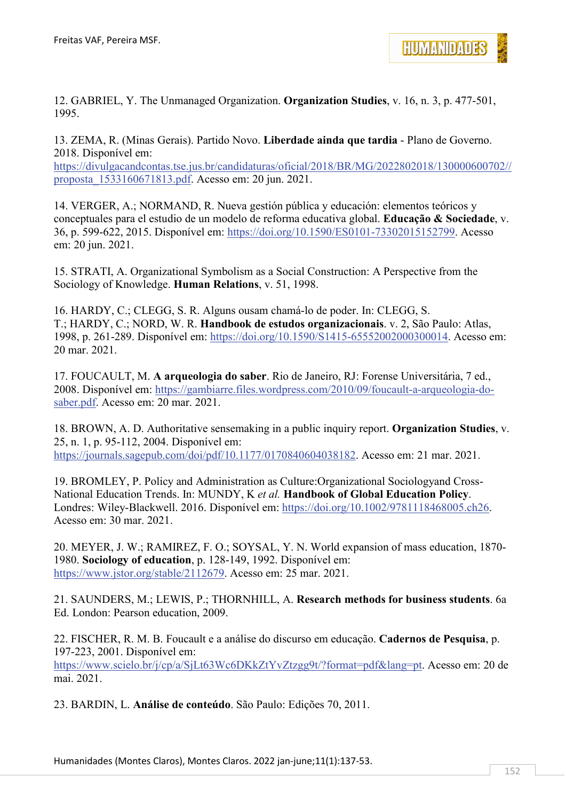

12. GABRIEL, Y. The Unmanaged Organization. **Organization Studies**, v. 16, n. 3, p. 477-501, 1995.

13. ZEMA, R. (Minas Gerais). Partido Novo. **Liberdade ainda que tardia** - Plano de Governo. 2018. Disponível em: [https://divulgacandcontas.tse.jus.br/candidaturas/oficial/2018/BR/MG/2022802018/130000600702//](https://divulgacandcontas.tse.jus.br/candidaturas/oficial/2018/BR/MG/2022802018/130000600702/proposta_1533160671813.pdf)

[proposta\\_1533160671813.pdf.](https://divulgacandcontas.tse.jus.br/candidaturas/oficial/2018/BR/MG/2022802018/130000600702/proposta_1533160671813.pdf) Acesso em: 20 jun. 2021.

14. VERGER, A.; NORMAND, R. Nueva gestión pública y educación: elementos teóricos y conceptuales para el estudio de un modelo de reforma educativa global. **Educação & Sociedade**, v. 36, p. 599-622, 2015. Disponível em: [https://doi.org/10.1590/ES0101-73302015152799.](https://doi.org/10.1590/ES0101-73302015152799) Acesso em: 20 jun. 2021.

15. STRATI, A. Organizational Symbolism as a Social Construction: A Perspective from the Sociology of Knowledge. **Human Relations**, v. 51, 1998.

16. HARDY, C.; CLEGG, S. R. Alguns ousam chamá-lo de poder. In: CLEGG, S. T.; HARDY, C.; NORD, W. R. **Handbook de estudos organizacionais**. v. 2, São Paulo: Atlas, 1998, p. 261-289. Disponível em: [https://doi.org/10.1590/S1415-65552002000300014.](https://doi.org/10.1590/S1415-65552002000300014) Acesso em: 20 mar. 2021.

17. FOUCAULT, M. **A arqueologia do saber**. Rio de Janeiro, RJ: Forense Universitária, 7 ed., 2008. Disponível em: [https://gambiarre.files.wordpress.com/2010/09/foucault-a-arqueologia-do](https://gambiarre.files.wordpress.com/2010/09/foucault-a-arqueologia-do-saber.pdf)[saber.pdf.](https://gambiarre.files.wordpress.com/2010/09/foucault-a-arqueologia-do-saber.pdf) Acesso em: 20 mar. 2021.

18. BROWN, A. D. Authoritative sensemaking in a public inquiry report. **Organization Studies**, v. 25, n. 1, p. 95-112, 2004. Disponível em: [https://journals.sagepub.com/doi/pdf/10.1177/0170840604038182.](https://journals.sagepub.com/doi/pdf/10.1177/0170840604038182) Acesso em: 21 mar. 2021.

19. BROMLEY, P. Policy and Administration as Culture:Organizational Sociologyand Cross‐ National Education Trends. In: MUNDY, K *et al.* **Handbook of Global Education Policy**. Londres: Wiley-Blackwell. 2016. Disponível em: [https://doi.org/10.1002/9781118468005.ch26.](https://doi.org/10.1002/9781118468005.ch26) Acesso em: 30 mar. 2021.

20. MEYER, J. W.; RAMIREZ, F. O.; SOYSAL, Y. N. World expansion of mass education, 1870- 1980. **Sociology of education**, p. 128-149, 1992. Disponível em: [https://www.jstor.org/stable/2112679.](https://www.jstor.org/stable/2112679) Acesso em: 25 mar. 2021.

21. SAUNDERS, M.; LEWIS, P.; THORNHILL, A. **Research methods for business students**. 6a Ed. London: Pearson education, 2009.

22. FISCHER, R. M. B. Foucault e a análise do discurso em educação. **Cadernos de Pesquisa**, p. 197-223, 2001. Disponível em: [https://www.scielo.br/j/cp/a/SjLt63Wc6DKkZtYvZtzgg9t/?format=pdf&lang=pt.](https://www.scielo.br/j/cp/a/SjLt63Wc6DKkZtYvZtzgg9t/?format=pdf&lang=pt) Acesso em: 20 de mai. 2021.

23. BARDIN, L. **Análise de conteúdo**. São Paulo: Edições 70, 2011.